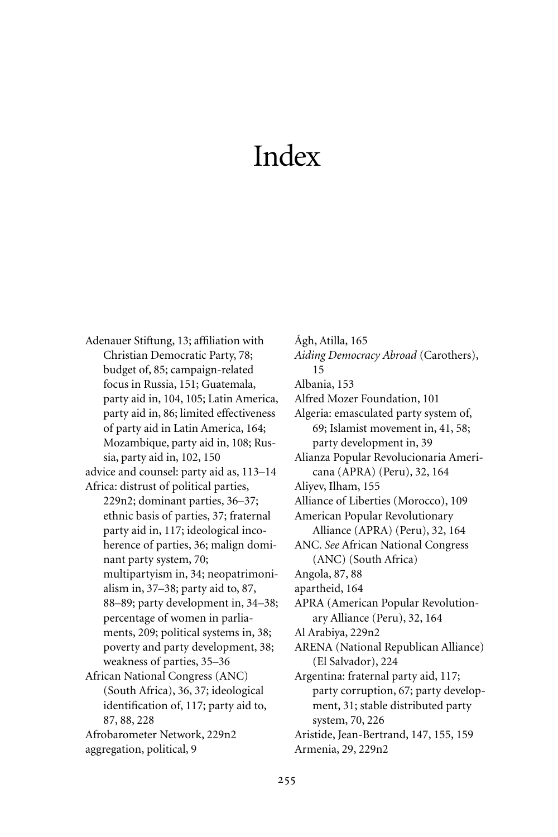## Index

Adenauer Stiftung, 13; affiliation with Christian Democratic Party, 78; budget of, 85; campaign-related focus in Russia, 151; Guatemala, party aid in, 104, 105; Latin America, party aid in, 86; limited effectiveness of party aid in Latin America, 164; Mozambique, party aid in, 108; Russia, party aid in, 102, 150 advice and counsel: party aid as, 113–14 Africa: distrust of political parties, 229n2; dominant parties, 36–37; ethnic basis of parties, 37; fraternal party aid in, 117; ideological incoherence of parties, 36; malign dominant party system, 70; multipartyism in, 34; neopatrimonialism in, 37–38; party aid to, 87, 88–89; party development in, 34–38; percentage of women in parliaments, 209; political systems in, 38; poverty and party development, 38; weakness of parties, 35–36 African National Congress (ANC) (South Africa), 36, 37; ideological identification of, 117; party aid to, 87, 88, 228 Afrobarometer Network, 229n2 aggregation, political, 9

Ágh, Atilla, 165 *Aiding Democracy Abroad* (Carothers), 15 Albania, 153 Alfred Mozer Foundation, 101 Algeria: emasculated party system of, 69; Islamist movement in, 41, 58; party development in, 39 Alianza Popular Revolucionaria Americana (APRA) (Peru), 32, 164 Aliyev, Ilham, 155 Alliance of Liberties (Morocco), 109 American Popular Revolutionary Alliance (APRA) (Peru), 32, 164 ANC. *See* African National Congress (ANC) (South Africa) Angola, 87, 88 apartheid, 164 APRA (American Popular Revolutionary Alliance (Peru), 32, 164 Al Arabiya, 229n2 ARENA (National Republican Alliance) (El Salvador), 224 Argentina: fraternal party aid, 117; party corruption, 67; party development, 31; stable distributed party system, 70, 226 Aristide, Jean-Bertrand, 147, 155, 159 Armenia, 29, 229n2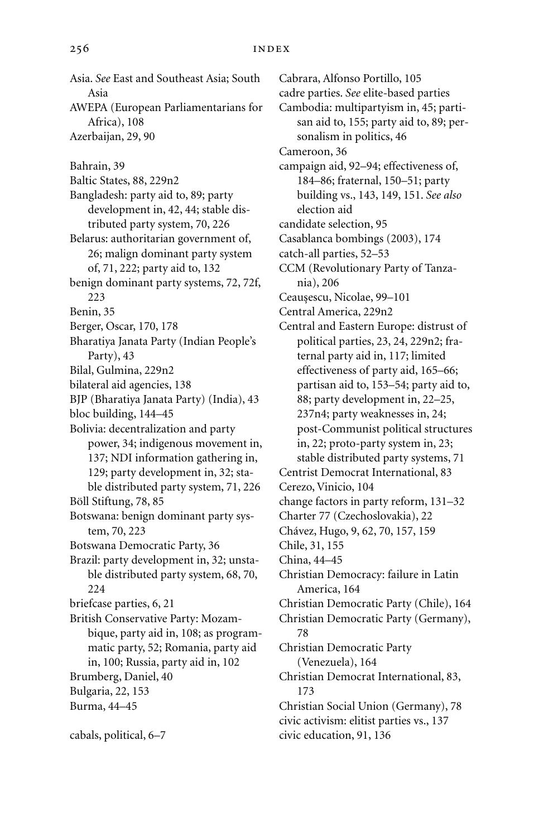Asia. *See* East and Southeast Asia; South Asia AWEPA (European Parliamentarians for Africa), 108 Azerbaijan, 29, 90 Bahrain, 39 Baltic States, 88, 229n2 Bangladesh: party aid to, 89; party development in, 42, 44; stable distributed party system, 70, 226 Belarus: authoritarian government of, 26; malign dominant party system of, 71, 222; party aid to, 132 benign dominant party systems, 72, 72f, 223 Benin, 35 Berger, Oscar, 170, 178 Bharatiya Janata Party (Indian People's Party), 43 Bilal, Gulmina, 229n2 bilateral aid agencies, 138 BJP (Bharatiya Janata Party) (India), 43 bloc building, 144–45 Bolivia: decentralization and party power, 34; indigenous movement in, 137; NDI information gathering in, 129; party development in, 32; stable distributed party system, 71, 226 Böll Stiftung, 78, 85 Botswana: benign dominant party system, 70, 223 Botswana Democratic Party, 36 Brazil: party development in, 32; unstable distributed party system, 68, 70, 224 briefcase parties, 6, 21 British Conservative Party: Mozambique, party aid in, 108; as programmatic party, 52; Romania, party aid in, 100; Russia, party aid in, 102 Brumberg, Daniel, 40 Bulgaria, 22, 153 Burma, 44–45 cabals, political, 6–7

Cabrara, Alfonso Portillo, 105 cadre parties. *See* elite-based parties Cambodia: multipartyism in, 45; partisan aid to, 155; party aid to, 89; personalism in politics, 46 Cameroon, 36 campaign aid, 92–94; effectiveness of, 184–86; fraternal, 150–51; party building vs., 143, 149, 151. *See also* election aid candidate selection, 95 Casablanca bombings (2003), 174 catch-all parties, 52–53 CCM (Revolutionary Party of Tanzania), 206 Ceaușescu, Nicolae, 99-101 Central America, 229n2 Central and Eastern Europe: distrust of political parties, 23, 24, 229n2; fraternal party aid in, 117; limited effectiveness of party aid, 165–66; partisan aid to, 153–54; party aid to, 88; party development in, 22–25, 237n4; party weaknesses in, 24; post-Communist political structures in, 22; proto-party system in, 23; stable distributed party systems, 71 Centrist Democrat International, 83 Cerezo, Vinicio, 104 change factors in party reform, 131–32 Charter 77 (Czechoslovakia), 22 Chávez, Hugo, 9, 62, 70, 157, 159 Chile, 31, 155 China, 44–45 Christian Democracy: failure in Latin America, 164 Christian Democratic Party (Chile), 164 Christian Democratic Party (Germany), 78 Christian Democratic Party (Venezuela), 164 Christian Democrat International, 83, 173 Christian Social Union (Germany), 78 civic activism: elitist parties vs., 137 civic education, 91, 136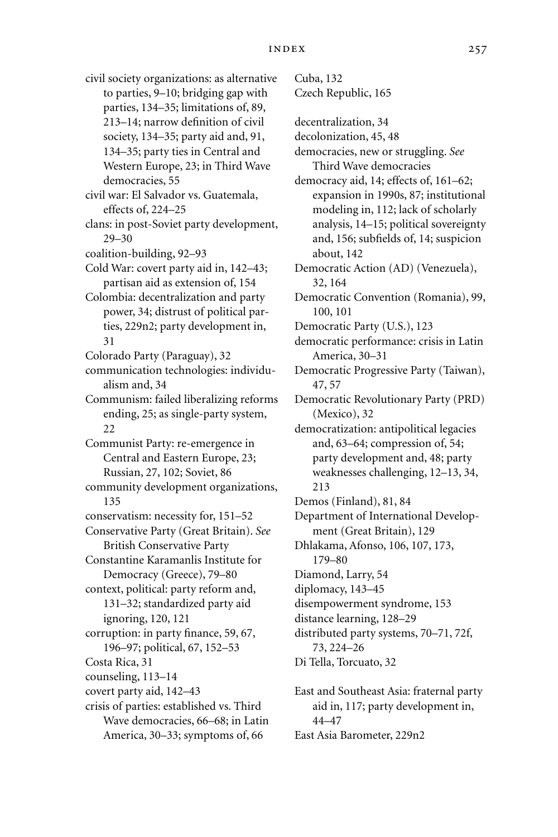civil society organizations: as alternative to parties, 9–10; bridging gap with parties, 134–35; limitations of, 89, 213–14; narrow definition of civil society, 134–35; party aid and, 91, 134–35; party ties in Central and Western Europe, 23; in Third Wave democracies, 55 civil war: El Salvador vs. Guatemala, effects of, 224–25 clans: in post-Soviet party development, 29–30 coalition-building, 92–93 Cold War: covert party aid in, 142–43; partisan aid as extension of, 154 Colombia: decentralization and party power, 34; distrust of political parties, 229n2; party development in, 31 Colorado Party (Paraguay), 32 communication technologies: individualism and, 34 Communism: failed liberalizing reforms ending, 25; as single-party system, 22 Communist Party: re-emergence in Central and Eastern Europe, 23; Russian, 27, 102; Soviet, 86 community development organizations, 135 conservatism: necessity for, 151–52 Conservative Party (Great Britain). *See* British Conservative Party Constantine Karamanlis Institute for Democracy (Greece), 79–80 context, political: party reform and, 131–32; standardized party aid ignoring, 120, 121 corruption: in party finance, 59, 67, 196–97; political, 67, 152–53 Costa Rica, 31 counseling, 113–14 covert party aid, 142–43 crisis of parties: established vs. Third Wave democracies, 66–68; in Latin

America, 30–33; symptoms of, 66

Cuba, 132 Czech Republic, 165 decentralization, 34 decolonization, 45, 48 democracies, new or struggling. *See* Third Wave democracies democracy aid, 14; effects of, 161–62; expansion in 1990s, 87; institutional modeling in, 112; lack of scholarly analysis, 14–15; political sovereignty and, 156; subfields of, 14; suspicion about, 142 Democratic Action (AD) (Venezuela), 32, 164 Democratic Convention (Romania), 99, 100, 101 Democratic Party (U.S.), 123 democratic performance: crisis in Latin America, 30–31 Democratic Progressive Party (Taiwan), 47, 57 Democratic Revolutionary Party (PRD) (Mexico), 32 democratization: antipolitical legacies and, 63–64; compression of, 54; party development and, 48; party weaknesses challenging, 12–13, 34, 213 Demos (Finland), 81, 84 Department of International Development (Great Britain), 129 Dhlakama, Afonso, 106, 107, 173, 179–80 Diamond, Larry, 54 diplomacy, 143–45 disempowerment syndrome, 153 distance learning, 128–29 distributed party systems, 70–71, 72f, 73, 224–26 Di Tella, Torcuato, 32 East and Southeast Asia: fraternal party

aid in, 117; party development in, 44–47 East Asia Barometer, 229n2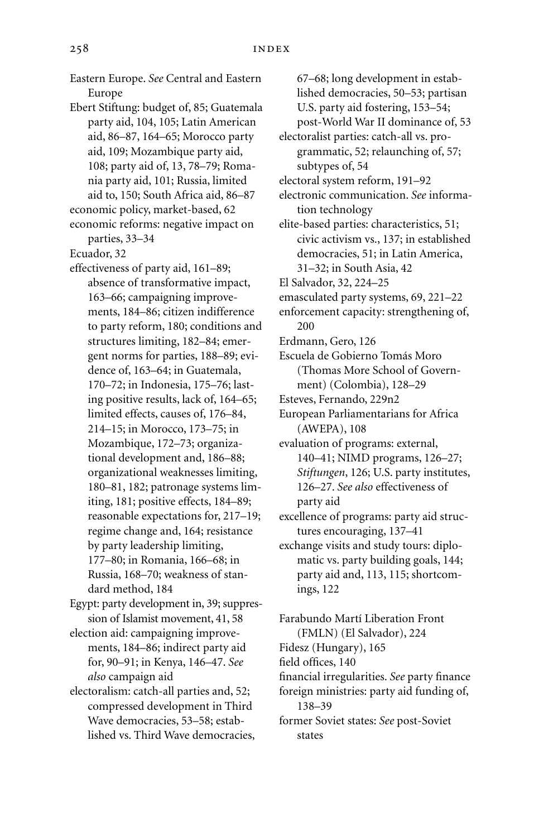Eastern Europe. *See* Central and Eastern Europe Ebert Stiftung: budget of, 85; Guatemala party aid, 104, 105; Latin American aid, 86–87, 164–65; Morocco party aid, 109; Mozambique party aid, 108; party aid of, 13, 78–79; Romania party aid, 101; Russia, limited aid to, 150; South Africa aid, 86–87 economic policy, market-based, 62 economic reforms: negative impact on parties, 33–34 Ecuador, 32 effectiveness of party aid, 161–89; absence of transformative impact, 163–66; campaigning improvements, 184–86; citizen indifference to party reform, 180; conditions and structures limiting, 182–84; emergent norms for parties, 188–89; evidence of, 163–64; in Guatemala, 170–72; in Indonesia, 175–76; lasting positive results, lack of, 164–65; limited effects, causes of, 176–84, 214–15; in Morocco, 173–75; in Mozambique, 172–73; organizational development and, 186–88; organizational weaknesses limiting, 180–81, 182; patronage systems limiting, 181; positive effects, 184–89; reasonable expectations for, 217–19; regime change and, 164; resistance by party leadership limiting, 177–80; in Romania, 166–68; in Russia, 168–70; weakness of standard method, 184 Egypt: party development in, 39; suppression of Islamist movement, 41, 58 election aid: campaigning improvements, 184–86; indirect party aid for, 90–91; in Kenya, 146–47. *See also* campaign aid

electoralism: catch-all parties and, 52; compressed development in Third Wave democracies, 53–58; established vs. Third Wave democracies,

67–68; long development in established democracies, 50–53; partisan U.S. party aid fostering, 153–54; post-World War II dominance of, 53 electoralist parties: catch-all vs. programmatic, 52; relaunching of, 57; subtypes of, 54 electoral system reform, 191–92 electronic communication. *See* information technology elite-based parties: characteristics, 51; civic activism vs., 137; in established democracies, 51; in Latin America, 31–32; in South Asia, 42 El Salvador, 32, 224–25 emasculated party systems, 69, 221–22 enforcement capacity: strengthening of, 200 Erdmann, Gero, 126 Escuela de Gobierno Tomás Moro (Thomas More School of Government) (Colombia), 128–29 Esteves, Fernando, 229n2 European Parliamentarians for Africa (AWEPA), 108 evaluation of programs: external, 140–41; NIMD programs, 126–27; *Stiftungen*, 126; U.S. party institutes, 126–27. *See also* effectiveness of party aid

excellence of programs: party aid structures encouraging, 137–41

exchange visits and study tours: diplomatic vs. party building goals, 144; party aid and, 113, 115; shortcomings, 122

Farabundo Martí Liberation Front (FMLN) (El Salvador), 224 Fidesz (Hungary), 165 field offices, 140 financial irregularities. *See* party finance foreign ministries: party aid funding of, 138–39 former Soviet states: *See* post-Soviet

states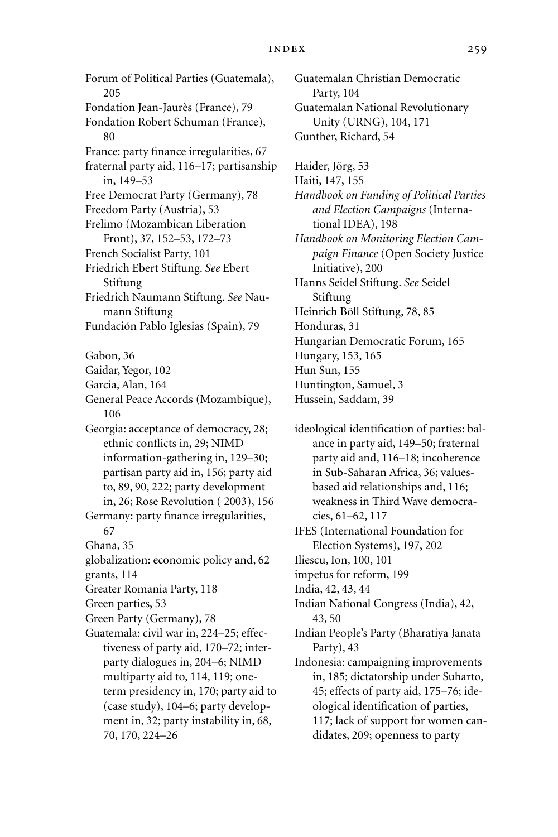## index 259

Forum of Political Parties (Guatemala), 205 Fondation Jean-Jaurès (France), 79 Fondation Robert Schuman (France), 80 France: party finance irregularities, 67 fraternal party aid, 116–17; partisanship in, 149–53 Free Democrat Party (Germany), 78 Freedom Party (Austria), 53 Frelimo (Mozambican Liberation Front), 37, 152–53, 172–73 French Socialist Party, 101 Friedrich Ebert Stiftung. *See* Ebert Stiftung Friedrich Naumann Stiftung. *See* Naumann Stiftung Fundación Pablo Iglesias (Spain), 79 Gabon, 36 Gaidar, Yegor, 102 Garcia, Alan, 164 General Peace Accords (Mozambique), 106 Georgia: acceptance of democracy, 28; ethnic conflicts in, 29; NIMD information-gathering in, 129–30; partisan party aid in, 156; party aid to, 89, 90, 222; party development in, 26; Rose Revolution ( 2003), 156 Germany: party finance irregularities, 67 Ghana, 35 globalization: economic policy and, 62 grants, 114 Greater Romania Party, 118 Green parties, 53 Green Party (Germany), 78 Guatemala: civil war in, 224–25; effectiveness of party aid, 170–72; interparty dialogues in, 204–6; NIMD multiparty aid to, 114, 119; oneterm presidency in, 170; party aid to (case study), 104–6; party development in, 32; party instability in, 68, 70, 170, 224–26

Guatemalan Christian Democratic Party, 104 Guatemalan National Revolutionary Unity (URNG), 104, 171 Gunther, Richard, 54

Haider, Jörg, 53

Haiti, 147, 155

*Handbook on Funding of Political Parties and Election Campaigns* (International IDEA), 198

*Handbook on Monitoring Election Campaign Finance* (Open Society Justice Initiative), 200

Hanns Seidel Stiftung. *See* Seidel Stiftung

Heinrich Böll Stiftung, 78, 85

Honduras, 31

Hungarian Democratic Forum, 165

Hungary, 153, 165

Hun Sun, 155

Huntington, Samuel, 3

Hussein, Saddam, 39

ideological identification of parties: balance in party aid, 149–50; fraternal party aid and, 116–18; incoherence in Sub-Saharan Africa, 36; valuesbased aid relationships and, 116; weakness in Third Wave democracies, 61–62, 117

IFES (International Foundation for Election Systems), 197, 202

Iliescu, Ion, 100, 101

impetus for reform, 199

India, 42, 43, 44

Indian National Congress (India), 42, 43, 50

Indian People's Party (Bharatiya Janata Party), 43

Indonesia: campaigning improvements in, 185; dictatorship under Suharto, 45; effects of party aid, 175–76; ideological identification of parties, 117; lack of support for women candidates, 209; openness to party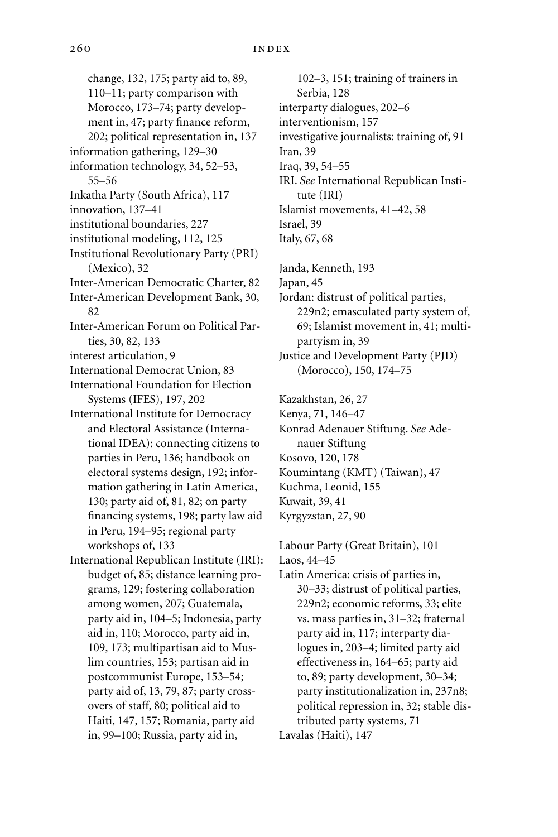change, 132, 175; party aid to, 89, 110–11; party comparison with Morocco, 173–74; party development in, 47; party finance reform, 202; political representation in, 137 information gathering, 129–30 information technology, 34, 52–53, 55–56 Inkatha Party (South Africa), 117 innovation, 137–41 institutional boundaries, 227 institutional modeling, 112, 125 Institutional Revolutionary Party (PRI) (Mexico), 32 Inter-American Democratic Charter, 82 Inter-American Development Bank, 30, 82 Inter-American Forum on Political Parties, 30, 82, 133 interest articulation, 9 International Democrat Union, 83 International Foundation for Election Systems (IFES), 197, 202 International Institute for Democracy and Electoral Assistance (International IDEA): connecting citizens to parties in Peru, 136; handbook on electoral systems design, 192; information gathering in Latin America, 130; party aid of, 81, 82; on party financing systems, 198; party law aid in Peru, 194–95; regional party workshops of, 133 International Republican Institute (IRI): budget of, 85; distance learning programs, 129; fostering collaboration among women, 207; Guatemala, party aid in, 104–5; Indonesia, party aid in, 110; Morocco, party aid in, 109, 173; multipartisan aid to Muslim countries, 153; partisan aid in postcommunist Europe, 153–54; party aid of, 13, 79, 87; party crossovers of staff, 80; political aid to Haiti, 147, 157; Romania, party aid in, 99–100; Russia, party aid in,

102–3, 151; training of trainers in Serbia, 128 interparty dialogues, 202–6 interventionism, 157 investigative journalists: training of, 91 Iran, 39 Iraq, 39, 54–55 IRI. *See* International Republican Institute (IRI) Islamist movements, 41–42, 58 Israel, 39 Italy, 67, 68

Janda, Kenneth, 193

Japan, 45

Jordan: distrust of political parties, 229n2; emasculated party system of, 69; Islamist movement in, 41; multipartyism in, 39

Kazakhstan, 26, 27

Kenya, 71, 146–47

Konrad Adenauer Stiftung. *See* Adenauer Stiftung

- Kosovo, 120, 178
- Koumintang (KMT) (Taiwan), 47

Kuchma, Leonid, 155

Kuwait, 39, 41

Kyrgyzstan, 27, 90

Labour Party (Great Britain), 101

Laos, 44–45

Latin America: crisis of parties in, 30–33; distrust of political parties, 229n2; economic reforms, 33; elite vs. mass parties in, 31–32; fraternal party aid in, 117; interparty dialogues in, 203–4; limited party aid effectiveness in, 164–65; party aid to, 89; party development, 30–34; party institutionalization in, 237n8; political repression in, 32; stable distributed party systems, 71 Lavalas (Haiti), 147

Justice and Development Party (PJD) (Morocco), 150, 174–75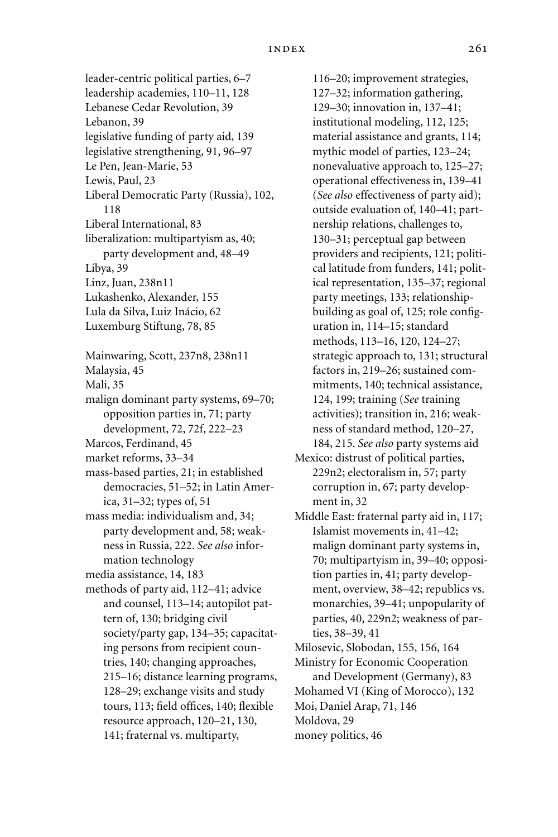leader-centric political parties, 6–7 leadership academies, 110–11, 128 Lebanese Cedar Revolution, 39 Lebanon, 39 legislative funding of party aid, 139 legislative strengthening, 91, 96–97 Le Pen, Jean-Marie, 53 Lewis, Paul, 23 Liberal Democratic Party (Russia), 102, 118 Liberal International, 83 liberalization: multipartyism as, 40; party development and, 48–49 Libya, 39 Linz, Juan, 238n11 Lukashenko, Alexander, 155 Lula da Silva, Luiz Inácio, 62 Luxemburg Stiftung, 78, 85 Mainwaring, Scott, 237n8, 238n11 Malaysia, 45 Mali, 35 malign dominant party systems, 69–70; opposition parties in, 71; party development, 72, 72f, 222–23 Marcos, Ferdinand, 45 market reforms, 33–34 mass-based parties, 21; in established democracies, 51–52; in Latin America, 31–32; types of, 51 mass media: individualism and, 34; party development and, 58; weakness in Russia, 222. *See also* information technology media assistance, 14, 183 methods of party aid, 112–41; advice and counsel, 113–14; autopilot pattern of, 130; bridging civil society/party gap, 134–35; capacitating persons from recipient countries, 140; changing approaches, 215–16; distance learning programs, 128–29; exchange visits and study tours, 113; field offices, 140; flexible resource approach, 120–21, 130, 141; fraternal vs. multiparty,

116–20; improvement strategies, 127–32; information gathering, 129–30; innovation in, 137–41; institutional modeling, 112, 125; material assistance and grants, 114; mythic model of parties, 123–24; nonevaluative approach to, 125–27; operational effectiveness in, 139–41 (*See also* effectiveness of party aid); outside evaluation of, 140–41; partnership relations, challenges to, 130–31; perceptual gap between providers and recipients, 121; political latitude from funders, 141; political representation, 135–37; regional party meetings, 133; relationshipbuilding as goal of, 125; role configuration in, 114–15; standard methods, 113–16, 120, 124–27; strategic approach to, 131; structural factors in, 219–26; sustained commitments, 140; technical assistance, 124, 199; training (*See* training activities); transition in, 216; weakness of standard method, 120–27, 184, 215. *See also* party systems aid

Mexico: distrust of political parties, 229n2; electoralism in, 57; party corruption in, 67; party development in, 32

Middle East: fraternal party aid in, 117; Islamist movements in, 41–42; malign dominant party systems in, 70; multipartyism in, 39–40; opposition parties in, 41; party development, overview, 38–42; republics vs. monarchies, 39–41; unpopularity of parties, 40, 229n2; weakness of parties, 38–39, 41

- Milosevic, Slobodan, 155, 156, 164
- Ministry for Economic Cooperation and Development (Germany), 83 Mohamed VI (King of Morocco), 132
- Moi, Daniel Arap, 71, 146

Moldova, 29

money politics, 46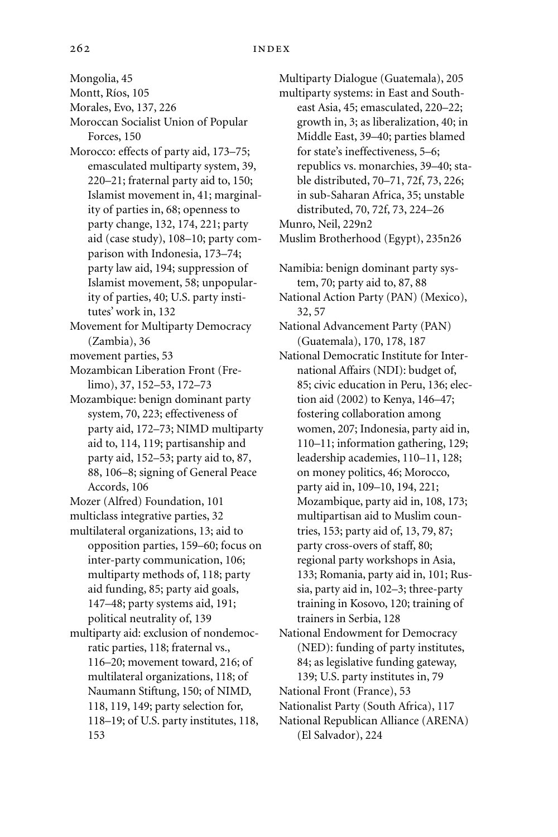Mongolia, 45

Montt, Ríos, 105

Morales, Evo, 137, 226

- Moroccan Socialist Union of Popular Forces, 150
- Morocco: effects of party aid, 173–75; emasculated multiparty system, 39, 220–21; fraternal party aid to, 150; Islamist movement in, 41; marginality of parties in, 68; openness to party change, 132, 174, 221; party aid (case study), 108–10; party comparison with Indonesia, 173–74; party law aid, 194; suppression of Islamist movement, 58; unpopularity of parties, 40; U.S. party institutes' work in, 132
- Movement for Multiparty Democracy (Zambia), 36
- movement parties, 53
- Mozambican Liberation Front (Frelimo), 37, 152–53, 172–73
- Mozambique: benign dominant party system, 70, 223; effectiveness of party aid, 172–73; NIMD multiparty aid to, 114, 119; partisanship and party aid, 152–53; party aid to, 87, 88, 106–8; signing of General Peace Accords, 106
- Mozer (Alfred) Foundation, 101
- multiclass integrative parties, 32
- multilateral organizations, 13; aid to opposition parties, 159–60; focus on inter-party communication, 106; multiparty methods of, 118; party aid funding, 85; party aid goals, 147–48; party systems aid, 191; political neutrality of, 139
- multiparty aid: exclusion of nondemocratic parties, 118; fraternal vs., 116–20; movement toward, 216; of multilateral organizations, 118; of Naumann Stiftung, 150; of NIMD, 118, 119, 149; party selection for, 118–19; of U.S. party institutes, 118, 153

Multiparty Dialogue (Guatemala), 205 multiparty systems: in East and Southeast Asia, 45; emasculated, 220–22; growth in, 3; as liberalization, 40; in Middle East, 39–40; parties blamed for state's ineffectiveness, 5–6; republics vs. monarchies, 39–40; stable distributed, 70–71, 72f, 73, 226; in sub-Saharan Africa, 35; unstable distributed, 70, 72f, 73, 224–26 Munro, Neil, 229n2

Muslim Brotherhood (Egypt), 235n26

- Namibia: benign dominant party system, 70; party aid to, 87, 88
- National Action Party (PAN) (Mexico), 32, 57
- National Advancement Party (PAN) (Guatemala), 170, 178, 187
- National Democratic Institute for International Affairs (NDI): budget of, 85; civic education in Peru, 136; election aid (2002) to Kenya, 146–47; fostering collaboration among women, 207; Indonesia, party aid in, 110–11; information gathering, 129; leadership academies, 110–11, 128; on money politics, 46; Morocco, party aid in, 109–10, 194, 221; Mozambique, party aid in, 108, 173; multipartisan aid to Muslim countries, 153; party aid of, 13, 79, 87; party cross-overs of staff, 80; regional party workshops in Asia, 133; Romania, party aid in, 101; Russia, party aid in, 102–3; three-party training in Kosovo, 120; training of trainers in Serbia, 128
- National Endowment for Democracy (NED): funding of party institutes, 84; as legislative funding gateway, 139; U.S. party institutes in, 79
- National Front (France), 53
- Nationalist Party (South Africa), 117
- National Republican Alliance (ARENA) (El Salvador), 224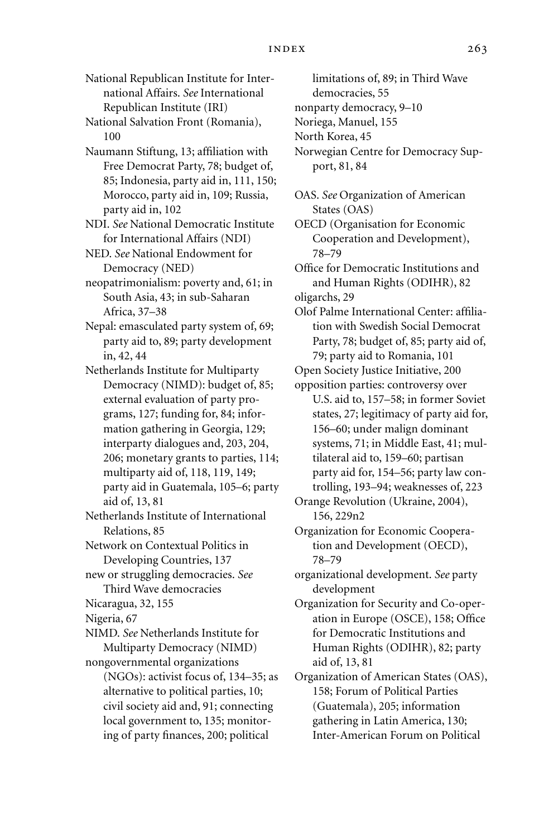National Republican Institute for International Affairs. *See* International Republican Institute (IRI)

National Salvation Front (Romania), 100

Naumann Stiftung, 13; affiliation with Free Democrat Party, 78; budget of, 85; Indonesia, party aid in, 111, 150; Morocco, party aid in, 109; Russia, party aid in, 102

NDI. *See* National Democratic Institute for International Affairs (NDI)

NED. *See* National Endowment for Democracy (NED)

neopatrimonialism: poverty and, 61; in South Asia, 43; in sub-Saharan Africa, 37–38

Nepal: emasculated party system of, 69; party aid to, 89; party development in, 42, 44

Netherlands Institute for Multiparty Democracy (NIMD): budget of, 85; external evaluation of party programs, 127; funding for, 84; information gathering in Georgia, 129; interparty dialogues and, 203, 204, 206; monetary grants to parties, 114; multiparty aid of, 118, 119, 149; party aid in Guatemala, 105–6; party aid of, 13, 81

Netherlands Institute of International Relations, 85

Network on Contextual Politics in Developing Countries, 137

new or struggling democracies. *See* Third Wave democracies

Nicaragua, 32, 155

Nigeria, 67

NIMD. *See* Netherlands Institute for Multiparty Democracy (NIMD)

nongovernmental organizations (NGOs): activist focus of, 134–35; as alternative to political parties, 10; civil society aid and, 91; connecting local government to, 135; monitoring of party finances, 200; political

limitations of, 89; in Third Wave

democracies, 55

nonparty democracy, 9–10

Noriega, Manuel, 155

North Korea, 45

Norwegian Centre for Democracy Support, 81, 84

OAS. *See* Organization of American States (OAS)

OECD (Organisation for Economic Cooperation and Development), 78–79

Office for Democratic Institutions and and Human Rights (ODIHR), 82

oligarchs, 29

Olof Palme International Center: affiliation with Swedish Social Democrat Party, 78; budget of, 85; party aid of, 79; party aid to Romania, 101

Open Society Justice Initiative, 200

opposition parties: controversy over U.S. aid to, 157–58; in former Soviet states, 27; legitimacy of party aid for, 156–60; under malign dominant systems, 71; in Middle East, 41; multilateral aid to, 159–60; partisan party aid for, 154–56; party law controlling, 193–94; weaknesses of, 223

Orange Revolution (Ukraine, 2004), 156, 229n2

Organization for Economic Cooperation and Development (OECD), 78–79

organizational development. *See* party development

Organization for Security and Co-operation in Europe (OSCE), 158; Office for Democratic Institutions and Human Rights (ODIHR), 82; party aid of, 13, 81

Organization of American States (OAS), 158; Forum of Political Parties (Guatemala), 205; information gathering in Latin America, 130; Inter-American Forum on Political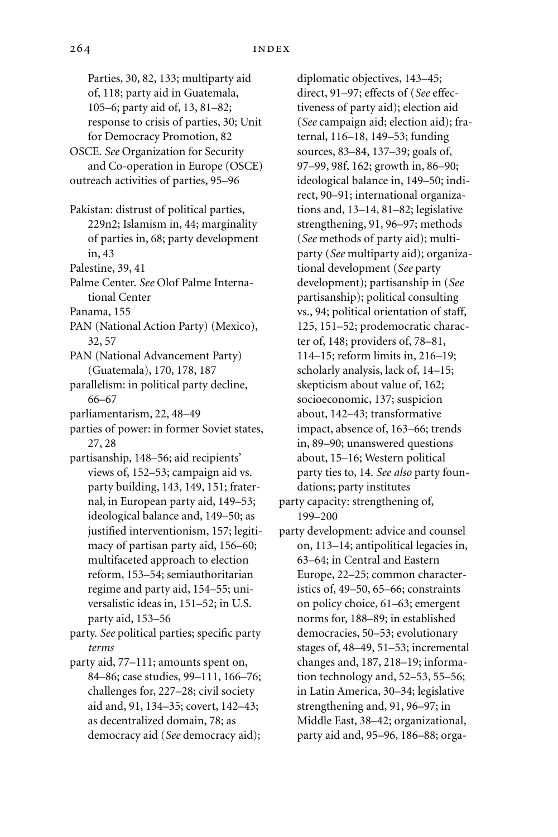Parties, 30, 82, 133; multiparty aid of, 118; party aid in Guatemala, 105–6; party aid of, 13, 81–82; response to crisis of parties, 30; Unit for Democracy Promotion, 82 OSCE. *See* Organization for Security and Co-operation in Europe (OSCE) outreach activities of parties, 95–96 Pakistan: distrust of political parties,

- 229n2; Islamism in, 44; marginality of parties in, 68; party development in, 43
- Palestine, 39, 41
- Palme Center. *See* Olof Palme International Center
- Panama, 155
- PAN (National Action Party) (Mexico), 32, 57
- PAN (National Advancement Party) (Guatemala), 170, 178, 187
- parallelism: in political party decline, 66–67
- parliamentarism, 22, 48–49
- parties of power: in former Soviet states, 27, 28
- partisanship, 148–56; aid recipients' views of, 152–53; campaign aid vs. party building, 143, 149, 151; fraternal, in European party aid, 149–53; ideological balance and, 149–50; as justified interventionism, 157; legitimacy of partisan party aid, 156–60; multifaceted approach to election reform, 153–54; semiauthoritarian regime and party aid, 154–55; universalistic ideas in, 151–52; in U.S. party aid, 153–56
- party. *See* political parties; specific party *terms*
- party aid, 77–111; amounts spent on, 84–86; case studies, 99–111, 166–76; challenges for, 227–28; civil society aid and, 91, 134–35; covert, 142–43; as decentralized domain, 78; as democracy aid (*See* democracy aid);

diplomatic objectives, 143–45; direct, 91–97; effects of (*See* effectiveness of party aid); election aid (*See* campaign aid; election aid); fraternal, 116–18, 149–53; funding sources, 83–84, 137–39; goals of, 97–99, 98f, 162; growth in, 86–90; ideological balance in, 149–50; indirect, 90–91; international organizations and, 13–14, 81–82; legislative strengthening, 91, 96–97; methods (*See* methods of party aid); multiparty (*See* multiparty aid); organizational development (*See* party development); partisanship in (*See* partisanship); political consulting vs., 94; political orientation of staff, 125, 151–52; prodemocratic character of, 148; providers of, 78–81, 114–15; reform limits in, 216–19; scholarly analysis, lack of, 14–15; skepticism about value of, 162; socioeconomic, 137; suspicion about, 142–43; transformative impact, absence of, 163–66; trends in, 89–90; unanswered questions about, 15–16; Western political party ties to, 14. *See also* party foundations; party institutes

party capacity: strengthening of, 199–200

party development: advice and counsel on, 113–14; antipolitical legacies in, 63–64; in Central and Eastern Europe, 22–25; common characteristics of, 49–50, 65–66; constraints on policy choice, 61–63; emergent norms for, 188–89; in established democracies, 50–53; evolutionary stages of, 48–49, 51–53; incremental changes and, 187, 218–19; information technology and, 52–53, 55–56; in Latin America, 30–34; legislative strengthening and, 91, 96–97; in Middle East, 38–42; organizational, party aid and, 95–96, 186–88; orga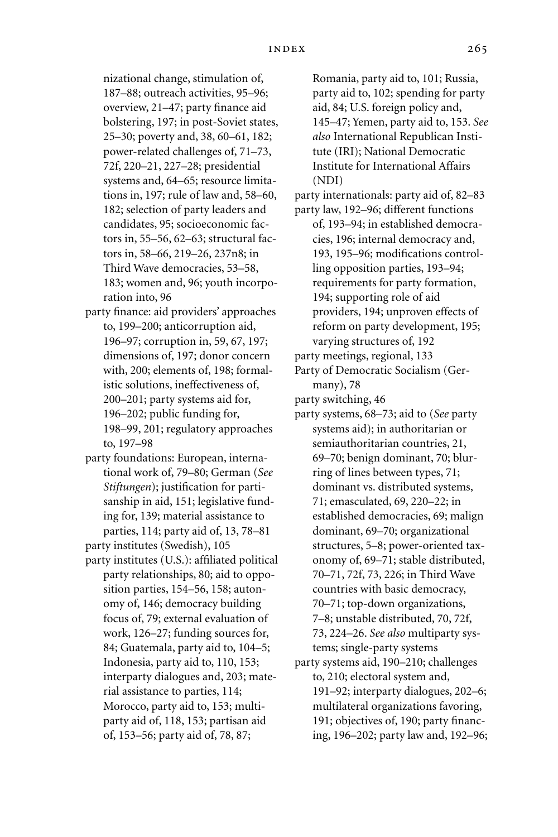nizational change, stimulation of, 187–88; outreach activities, 95–96; overview, 21–47; party finance aid bolstering, 197; in post-Soviet states, 25–30; poverty and, 38, 60–61, 182; power-related challenges of, 71–73, 72f, 220–21, 227–28; presidential systems and, 64–65; resource limitations in, 197; rule of law and, 58–60, 182; selection of party leaders and candidates, 95; socioeconomic factors in, 55–56, 62–63; structural factors in, 58–66, 219–26, 237n8; in Third Wave democracies, 53–58, 183; women and, 96; youth incorporation into, 96

- party finance: aid providers' approaches to, 199–200; anticorruption aid, 196–97; corruption in, 59, 67, 197; dimensions of, 197; donor concern with, 200; elements of, 198; formalistic solutions, ineffectiveness of, 200–201; party systems aid for, 196–202; public funding for, 198–99, 201; regulatory approaches to, 197–98
- party foundations: European, international work of, 79–80; German (*See Stiftungen*); justification for partisanship in aid, 151; legislative funding for, 139; material assistance to parties, 114; party aid of, 13, 78–81
- party institutes (Swedish), 105
- party institutes (U.S.): affiliated political party relationships, 80; aid to opposition parties, 154–56, 158; autonomy of, 146; democracy building focus of, 79; external evaluation of work, 126–27; funding sources for, 84; Guatemala, party aid to, 104–5; Indonesia, party aid to, 110, 153; interparty dialogues and, 203; material assistance to parties, 114; Morocco, party aid to, 153; multiparty aid of, 118, 153; partisan aid of, 153–56; party aid of, 78, 87;

Romania, party aid to, 101; Russia, party aid to, 102; spending for party aid, 84; U.S. foreign policy and, 145–47; Yemen, party aid to, 153. *See also* International Republican Institute (IRI); National Democratic Institute for International Affairs (NDI)

- party internationals: party aid of, 82–83
- party law, 192–96; different functions of, 193–94; in established democracies, 196; internal democracy and, 193, 195–96; modifications controlling opposition parties, 193–94; requirements for party formation, 194; supporting role of aid providers, 194; unproven effects of reform on party development, 195; varying structures of, 192
- party meetings, regional, 133
- Party of Democratic Socialism (Germany), 78
- party switching, 46
- party systems, 68–73; aid to (*See* party systems aid); in authoritarian or semiauthoritarian countries, 21, 69–70; benign dominant, 70; blurring of lines between types, 71; dominant vs. distributed systems, 71; emasculated, 69, 220–22; in established democracies, 69; malign dominant, 69–70; organizational structures, 5–8; power-oriented taxonomy of, 69–71; stable distributed, 70–71, 72f, 73, 226; in Third Wave countries with basic democracy, 70–71; top-down organizations, 7–8; unstable distributed, 70, 72f, 73, 224–26. *See also* multiparty systems; single-party systems
- party systems aid, 190–210; challenges to, 210; electoral system and, 191–92; interparty dialogues, 202–6; multilateral organizations favoring, 191; objectives of, 190; party financing, 196–202; party law and, 192–96;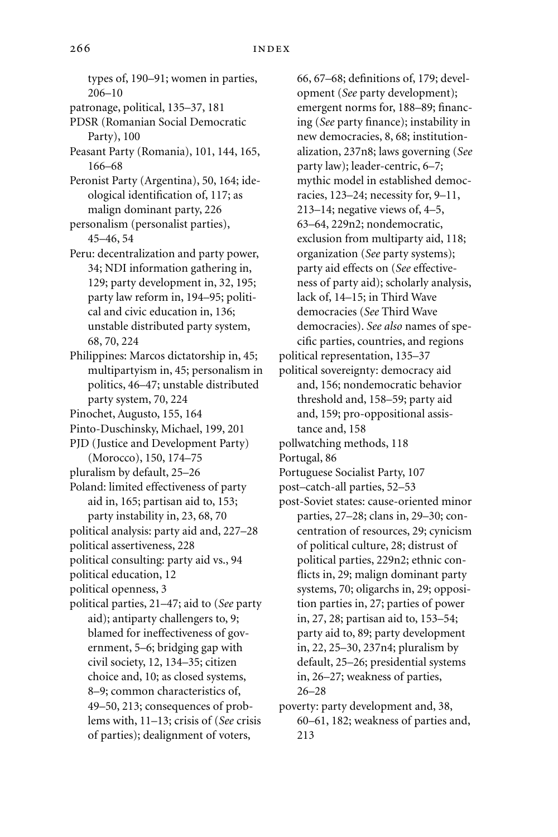types of, 190–91; women in parties, 206–10 patronage, political, 135–37, 181 PDSR (Romanian Social Democratic Party), 100 Peasant Party (Romania), 101, 144, 165, 166–68 Peronist Party (Argentina), 50, 164; ideological identification of, 117; as malign dominant party, 226 personalism (personalist parties), 45–46, 54 Peru: decentralization and party power, 34; NDI information gathering in, 129; party development in, 32, 195; party law reform in, 194–95; political and civic education in, 136; unstable distributed party system, 68, 70, 224 Philippines: Marcos dictatorship in, 45; multipartyism in, 45; personalism in politics, 46–47; unstable distributed party system, 70, 224 Pinochet, Augusto, 155, 164 Pinto-Duschinsky, Michael, 199, 201 PJD (Justice and Development Party) (Morocco), 150, 174–75 pluralism by default, 25–26 Poland: limited effectiveness of party aid in, 165; partisan aid to, 153; party instability in, 23, 68, 70 political analysis: party aid and, 227–28 political assertiveness, 228 political consulting: party aid vs., 94 political education, 12 political openness, 3 political parties, 21–47; aid to (*See* party aid); antiparty challengers to, 9; blamed for ineffectiveness of government, 5–6; bridging gap with civil society, 12, 134–35; citizen choice and, 10; as closed systems, 8–9; common characteristics of, 49–50, 213; consequences of problems with, 11–13; crisis of (*See* crisis of parties); dealignment of voters,

66, 67–68; definitions of, 179; development (*See* party development); emergent norms for, 188–89; financing (*See* party finance); instability in new democracies, 8, 68; institutionalization, 237n8; laws governing (*See* party law); leader-centric, 6–7; mythic model in established democracies, 123–24; necessity for, 9–11, 213–14; negative views of, 4–5, 63–64, 229n2; nondemocratic, exclusion from multiparty aid, 118; organization (*See* party systems); party aid effects on (*See* effectiveness of party aid); scholarly analysis, lack of, 14–15; in Third Wave democracies (*See* Third Wave democracies). *See also* names of specific parties, countries, and regions political representation, 135–37

political sovereignty: democracy aid and, 156; nondemocratic behavior threshold and, 158–59; party aid and, 159; pro-oppositional assistance and, 158

pollwatching methods, 118

Portugal, 86

- Portuguese Socialist Party, 107
- post–catch-all parties, 52–53
- post-Soviet states: cause-oriented minor parties, 27–28; clans in, 29–30; concentration of resources, 29; cynicism of political culture, 28; distrust of political parties, 229n2; ethnic conflicts in, 29; malign dominant party systems, 70; oligarchs in, 29; opposition parties in, 27; parties of power in, 27, 28; partisan aid to, 153–54; party aid to, 89; party development in, 22, 25–30, 237n4; pluralism by default, 25–26; presidential systems in, 26–27; weakness of parties, 26–28
- poverty: party development and, 38, 60–61, 182; weakness of parties and, 213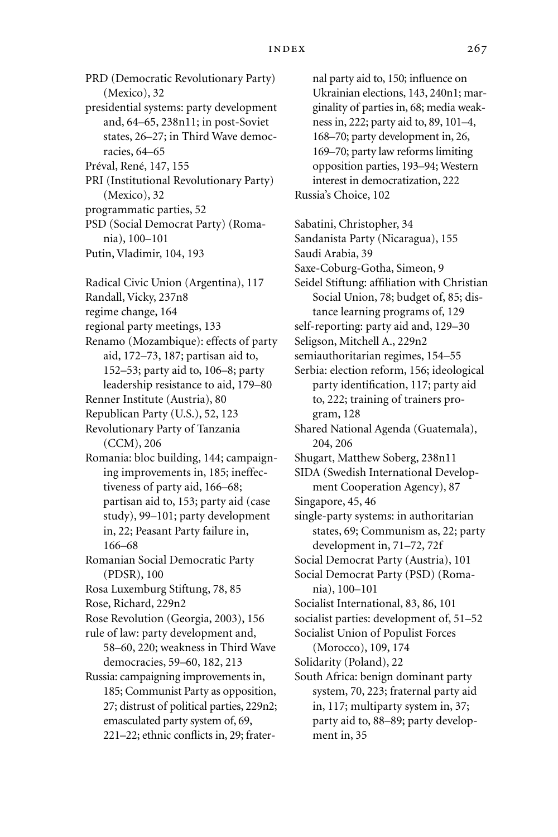PRD (Democratic Revolutionary Party) (Mexico), 32 presidential systems: party development and, 64–65, 238n11; in post-Soviet

states, 26–27; in Third Wave democracies, 64–65

Préval, René, 147, 155

PRI (Institutional Revolutionary Party) (Mexico), 32

programmatic parties, 52

PSD (Social Democrat Party) (Romania), 100–101

- Putin, Vladimir, 104, 193
- Radical Civic Union (Argentina), 117

Randall, Vicky, 237n8

regime change, 164

regional party meetings, 133

- Renamo (Mozambique): effects of party aid, 172–73, 187; partisan aid to, 152–53; party aid to, 106–8; party leadership resistance to aid, 179–80
- Renner Institute (Austria), 80
- Republican Party (U.S.), 52, 123
- Revolutionary Party of Tanzania (CCM), 206
- Romania: bloc building, 144; campaigning improvements in, 185; ineffectiveness of party aid, 166–68; partisan aid to, 153; party aid (case study), 99–101; party development in, 22; Peasant Party failure in, 166–68

Romanian Social Democratic Party (PDSR), 100

- Rosa Luxemburg Stiftung, 78, 85
- Rose, Richard, 229n2
- Rose Revolution (Georgia, 2003), 156
- rule of law: party development and, 58–60, 220; weakness in Third Wave democracies, 59–60, 182, 213
- Russia: campaigning improvements in, 185; Communist Party as opposition, 27; distrust of political parties, 229n2; emasculated party system of, 69, 221–22; ethnic conflicts in, 29; frater-

nal party aid to, 150; influence on Ukrainian elections, 143, 240n1; marginality of parties in, 68; media weakness in, 222; party aid to, 89, 101–4, 168–70; party development in, 26, 169–70; party law reforms limiting opposition parties, 193–94; Western interest in democratization, 222 Russia's Choice, 102

- Sabatini, Christopher, 34
- Sandanista Party (Nicaragua), 155 Saudi Arabia, 39 Saxe-Coburg-Gotha, Simeon, 9 Seidel Stiftung: affiliation with Christian Social Union, 78; budget of, 85; distance learning programs of, 129 self-reporting: party aid and, 129–30 Seligson, Mitchell A., 229n2
- semiauthoritarian regimes, 154–55
- Serbia: election reform, 156; ideological party identification, 117; party aid to, 222; training of trainers program, 128
- Shared National Agenda (Guatemala), 204, 206
- Shugart, Matthew Soberg, 238n11
- SIDA (Swedish International Development Cooperation Agency), 87
- Singapore, 45, 46
- single-party systems: in authoritarian states, 69; Communism as, 22; party development in, 71–72, 72f
- Social Democrat Party (Austria), 101
- Social Democrat Party (PSD) (Romania), 100–101
- Socialist International, 83, 86, 101
- socialist parties: development of, 51–52
- Socialist Union of Populist Forces (Morocco), 109, 174
- Solidarity (Poland), 22
- South Africa: benign dominant party system, 70, 223; fraternal party aid in, 117; multiparty system in, 37; party aid to, 88–89; party development in, 35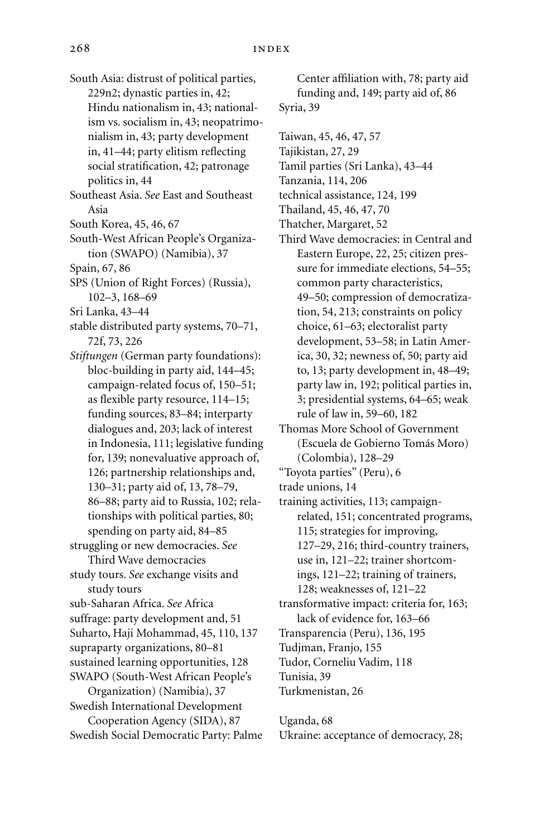- South Asia: distrust of political parties, 229n2; dynastic parties in, 42; Hindu nationalism in, 43; nationalism vs. socialism in, 43; neopatrimonialism in, 43; party development in, 41–44; party elitism reflecting social stratification, 42; patronage politics in, 44
- Southeast Asia. *See* East and Southeast Asia
- South Korea, 45, 46, 67
- South-West African People's Organization (SWAPO) (Namibia), 37
- Spain, 67, 86
- SPS (Union of Right Forces) (Russia), 102–3, 168–69
- Sri Lanka, 43–44
- stable distributed party systems, 70–71, 72f, 73, 226
- *Stiftungen* (German party foundations): bloc-building in party aid, 144–45; campaign-related focus of, 150–51; as flexible party resource, 114–15; funding sources, 83–84; interparty dialogues and, 203; lack of interest in Indonesia, 111; legislative funding for, 139; nonevaluative approach of, 126; partnership relationships and, 130–31; party aid of, 13, 78–79, 86–88; party aid to Russia, 102; relationships with political parties, 80; spending on party aid, 84–85 struggling or new democracies. *See* Third Wave democracies
- study tours. *See* exchange visits and study tours
- sub-Saharan Africa. *See* Africa
- suffrage: party development and, 51 Suharto, Haji Mohammad, 45, 110, 137
- supraparty organizations, 80–81
- sustained learning opportunities, 128
- SWAPO (South-West African People's Organization) (Namibia), 37
- Swedish International Development Cooperation Agency (SIDA), 87 Swedish Social Democratic Party: Palme

Center affiliation with, 78; party aid funding and, 149; party aid of, 86 Syria, 39

- Taiwan, 45, 46, 47, 57
- Tajikistan, 27, 29
- Tamil parties (Sri Lanka), 43–44
- Tanzania, 114, 206
- technical assistance, 124, 199
- Thailand, 45, 46, 47, 70
- Thatcher, Margaret, 52
- Third Wave democracies: in Central and Eastern Europe, 22, 25; citizen pressure for immediate elections, 54–55; common party characteristics, 49–50; compression of democratization, 54, 213; constraints on policy choice, 61–63; electoralist party development, 53–58; in Latin America, 30, 32; newness of, 50; party aid to, 13; party development in, 48–49; party law in, 192; political parties in, 3; presidential systems, 64–65; weak rule of law in, 59–60, 182
- Thomas More School of Government (Escuela de Gobierno Tomás Moro) (Colombia), 128–29
- "Toyota parties" (Peru), 6
- trade unions, 14
- training activities, 113; campaignrelated, 151; concentrated programs, 115; strategies for improving, 127–29, 216; third-country trainers, use in, 121–22; trainer shortcomings, 121–22; training of trainers, 128; weaknesses of, 121–22 transformative impact: criteria for, 163;
- lack of evidence for, 163–66 Transparencia (Peru), 136, 195
- Tudjman, Franjo, 155
- Tudor, Corneliu Vadim, 118
- Tunisia, 39
- Turkmenistan, 26
- Uganda, 68 Ukraine: acceptance of democracy, 28;